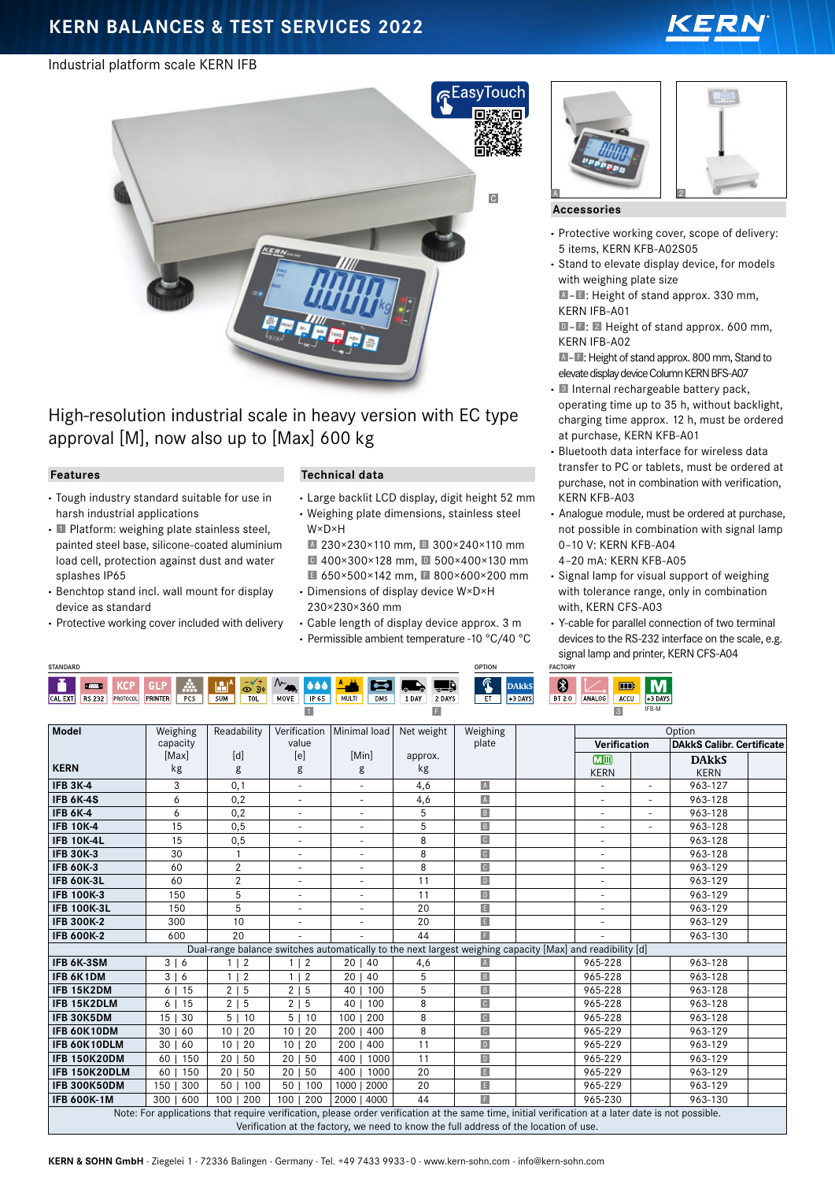# **KERN BALANCES & TEST SERVICES 2022**

### Industrial platform scale KERN IFB



# High-resolution industrial scale in heavy version with EC type approval [M], now also up to [Max] 600 kg

#### **Features**

- **·** Tough industry standard suitable for use in harsh industrial applications
- **·** 1 Platform: weighing plate stainless steel, painted steel base, silicone-coated aluminium load cell, protection against dust and water splashes IP65
- **·** Benchtop stand incl. wall mount for display device as standard
- **·** Protective working cover included with delivery

#### **Technical data**

**·** Large backlit LCD display, digit height 52 mm **·** Weighing plate dimensions, stainless steel

W×D×H A 230×230×110 mm, B 300×240×110 mm C 400×300×128 mm, D 500×400×130 mm ■ 650×500×142 mm, ■ 800×600×200 mm

- **·** Dimensions of display device W×D×H 230×230×360 mm
- **·** Cable length of display device approx. 3 m
- **·** Permissible ambient temperature -10 °C/40 °C





#### **Accessories**

- **·** Protective working cover, scope of delivery: 5 items, KERN KFB-A02S05
- **·** Stand to elevate display device, for models with weighing plate size

A–E: Height of stand approx. 330 mm, KERN IFB-A01

D-F: 2 Height of stand approx. 600 mm, KERN IFB-A02

- A–F: Height of stand approx. 800 mm, Stand to elevate display device Column KERN BFS-A07
- **·** 3 Internal rechargeable battery pack, operating time up to 35 h, without backlight, charging time approx. 12 h, must be ordered at purchase, KERN KFB-A01
- **·** Bluetooth data interface for wireless data transfer to PC or tablets, must be ordered at purchase, not in combination with verification, KERN KFB-A03
- **·** Analogue module, must be ordered at purchase, not possible in combination with signal lamp 0–10 V: KERN KFB-A04
- 4–20 mA: KERN KFB-A05
- **·** Signal lamp for visual support of weighing with tolerance range, only in combination with, KERN CFS-A03
- **·** Y-cable for parallel connection of two terminal devices to the RS-232 interface on the scale, e.g. signal lamp and printer, KERN CFS-A04

| <b>STANDARD</b> |                              |          |                |                       |                 |                             |                     |             |       |            |            | <b>OPTION</b>        |                | <b>FACTORY</b>            |             |               |           |           |
|-----------------|------------------------------|----------|----------------|-----------------------|-----------------|-----------------------------|---------------------|-------------|-------|------------|------------|----------------------|----------------|---------------------------|-------------|---------------|-----------|-----------|
| CAL EXT         | <b>Base</b><br><b>RS 232</b> | PROTOCOL | <b>PRINTER</b> | ∽<br>တတ<br><b>PCS</b> | ш.<br>__<br>SUM | $\odot$<br>2v<br><b>TOL</b> | ∿<br>$\sim$<br>MOVE | <b>IP65</b> | MULTI | <b>DMS</b> | r<br>1 DAY | lò.<br>ு⇒ு<br>2 DAYS | <u>ര</u><br>r. | <b>DAkkS</b><br>$+3$ DAYS | 8<br>BT 2.0 | <b>ANALOG</b> | m<br>ACCU | $+3$ DAYS |
|                 |                              |          |                |                       |                 |                             |                     |             |       |            |            |                      |                |                           |             |               |           | IFB-M     |

| <b>Model</b>                                                                                                                                        | Weighing                | Readability            | Verification             | Minimal load                                                                                              | Net weight | Weighing             |  | Option                   |                          |                                  |  |
|-----------------------------------------------------------------------------------------------------------------------------------------------------|-------------------------|------------------------|--------------------------|-----------------------------------------------------------------------------------------------------------|------------|----------------------|--|--------------------------|--------------------------|----------------------------------|--|
|                                                                                                                                                     | capacity                |                        | value                    |                                                                                                           |            | plate                |  | Verification             |                          | <b>DAkkS Calibr. Certificate</b> |  |
|                                                                                                                                                     | [Max]                   | [d]                    | [e]                      | [Min]                                                                                                     | approx.    |                      |  | M <sub>III</sub>         |                          | <b>DAKKS</b>                     |  |
| <b>KERN</b>                                                                                                                                         | kg                      | g                      | g                        | g                                                                                                         | kg         |                      |  | <b>KERN</b>              |                          | <b>KERN</b>                      |  |
| <b>IFB 3K-4</b>                                                                                                                                     | 3                       | 0,1                    | ÷.                       | $\sim$                                                                                                    | 4,6        | $\Lambda$            |  |                          | $\equiv$                 | 963-127                          |  |
| IFB 6K-4S                                                                                                                                           | 6                       | 0,2                    | $\equiv$                 | $\blacksquare$                                                                                            | 4,6        | $\Lambda$            |  | $\equiv$                 | $\overline{\phantom{a}}$ | 963-128                          |  |
| <b>IFB 6K-4</b>                                                                                                                                     | 6                       | 0,2                    | ÷.                       | $\sim$                                                                                                    | 5          | $\vert B \vert$      |  | $\sim$                   | $\overline{\phantom{a}}$ | 963-128                          |  |
| <b>IFB 10K-4</b>                                                                                                                                    | 15                      | 0, 5                   | $\equiv$                 | $\overline{\phantom{a}}$                                                                                  | 5          | $\vert$ B            |  | $\sim$                   | ٠                        | 963-128                          |  |
| <b>IFB 10K-4L</b>                                                                                                                                   | 15                      | 0,5                    | $\equiv$                 | $\sim$                                                                                                    | 8          | C                    |  | $\equiv$                 |                          | 963-128                          |  |
| <b>IFB 30K-3</b>                                                                                                                                    | 30                      |                        | $\overline{\phantom{a}}$ | $\overline{\phantom{a}}$                                                                                  | 8          | C                    |  | $\overline{\phantom{a}}$ |                          | 963-128                          |  |
| <b>IFB 60K-3</b>                                                                                                                                    | 60                      | 2                      | $\blacksquare$           | ٠                                                                                                         | 8          | C                    |  | $\sim$                   |                          | 963-129                          |  |
| <b>IFB 60K-3L</b>                                                                                                                                   | 60                      | $\overline{2}$         | $\equiv$                 |                                                                                                           | 11         | $\boxed{D}$          |  | $\overline{\phantom{a}}$ |                          | 963-129                          |  |
| <b>IFB 100K-3</b>                                                                                                                                   | 150                     | 5                      | $\blacksquare$           |                                                                                                           | 11         | $\boxed{\mathsf{D}}$ |  | $\overline{\phantom{a}}$ |                          | 963-129                          |  |
| <b>IFB 100K-3L</b>                                                                                                                                  | 150                     | 5                      | $\blacksquare$           |                                                                                                           | 20         | $\mathbb{E}$         |  | $\overline{\phantom{a}}$ |                          | 963-129                          |  |
| <b>IFB 300K-2</b>                                                                                                                                   | 300                     | 10                     | $\equiv$                 |                                                                                                           | 20         | $\vert$ E $\vert$    |  | $\overline{\phantom{a}}$ |                          | 963-129                          |  |
| <b>IFB 600K-2</b>                                                                                                                                   | 600                     | 20                     |                          |                                                                                                           | 44         | F                    |  |                          |                          | 963-130                          |  |
|                                                                                                                                                     |                         |                        |                          | Dual-range balance switches automatically to the next largest weighing capacity [Max] and readibility [d] |            |                      |  |                          |                          |                                  |  |
| IFB 6K-3SM                                                                                                                                          | 3   6                   | $\overline{2}$         | $1 \mid 2$               | 20   40                                                                                                   | 4,6        | $\mathbb A$          |  | 965-228                  |                          | 963-128                          |  |
| <b>IFB 6K1DM</b>                                                                                                                                    | $3 \mid 6$              | 2<br>1                 | $\overline{2}$<br>1      | 20<br>40                                                                                                  | 5          | $\vert$ B            |  | 965-228                  |                          | 963-128                          |  |
| IFB 15K2DM                                                                                                                                          | 15<br>6 <sup>1</sup>    | 2 <sub>1</sub><br>5    | 2 <sub>1</sub><br>5      | 100<br>40                                                                                                 | 5          | $\vert$ B            |  | 965-228                  |                          | 963-128                          |  |
| IFB 15K2DLM                                                                                                                                         | 15<br>6 I               | 2 5                    | $2 \mid 5$               | 40<br>100                                                                                                 | 8          | C                    |  | 965-228                  |                          | 963-128                          |  |
| IFB 30K5DM                                                                                                                                          | 15 <sub>1</sub><br>30   | 5 10                   | 5 <sub>1</sub><br>10     | 100<br>200                                                                                                | 8          | C                    |  | 965-228                  |                          | 963-128                          |  |
| IFB 60K10DM                                                                                                                                         | 30 <sub>1</sub><br>60   | 10 <sup>°</sup><br>20  | 20<br>10 <sub>1</sub>    | 200<br>400                                                                                                | 8          | C                    |  | 965-229                  |                          | 963-129                          |  |
| IFB 60K10DLM                                                                                                                                        | 30   60                 | 10 <sup>°</sup><br>20  | 20<br>10 <sup>1</sup>    | 200<br>400                                                                                                | 11         | $\vert$ D            |  | 965-229                  |                          | 963-129                          |  |
| <b>IFB 150K20DM</b>                                                                                                                                 | 150<br>60               | 20 <sub>1</sub><br>-50 | 50<br>20 <sub>1</sub>    | 1000<br>400                                                                                               | 11         | $\boxed{\mathsf{D}}$ |  | 965-229                  |                          | 963-129                          |  |
| IFB 150K20DLM                                                                                                                                       | 150<br>60               | 20 <sub>1</sub><br>50  | 20<br>50                 | 400 <sub>1</sub><br>1000                                                                                  | 20         | E                    |  | 965-229                  |                          | 963-129                          |  |
| IFB 300K50DM                                                                                                                                        | 150<br>300              | 50 <sub>1</sub><br>100 | 50 <sub>1</sub><br>100   | 1000   2000                                                                                               | 20         | $\mathbb{E}$         |  | 965-229                  |                          | 963-129                          |  |
| <b>IFB 600K-1M</b>                                                                                                                                  | 600<br>300 <sub>1</sub> | 100<br>200             | 100   200                | 2000   4000                                                                                               | 44         | F                    |  | 965-230                  |                          | 963-130                          |  |
| Note: For applications that require verification, please order verification at the same time, initial verification at a later date is not possible. |                         |                        |                          |                                                                                                           |            |                      |  |                          |                          |                                  |  |
| Verification at the factory, we need to know the full address of the location of use.                                                               |                         |                        |                          |                                                                                                           |            |                      |  |                          |                          |                                  |  |